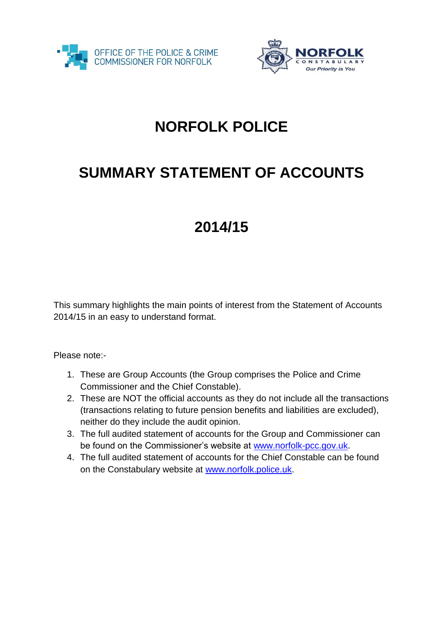



## **NORFOLK POLICE**

## **SUMMARY STATEMENT OF ACCOUNTS**

## **2014/15**

This summary highlights the main points of interest from the Statement of Accounts 2014/15 in an easy to understand format.

Please note:-

- 1. These are Group Accounts (the Group comprises the Police and Crime Commissioner and the Chief Constable).
- 2. These are NOT the official accounts as they do not include all the transactions (transactions relating to future pension benefits and liabilities are excluded), neither do they include the audit opinion.
- 3. The full audited statement of accounts for the Group and Commissioner can be found on the Commissioner's website at [www.norfolk-pcc.gov.uk.](http://www.norfolk-pcc.gov.uk/)
- 4. The full audited statement of accounts for the Chief Constable can be found on the Constabulary website at [www.norfolk.police.uk.](http://www.norfolk.police.uk/)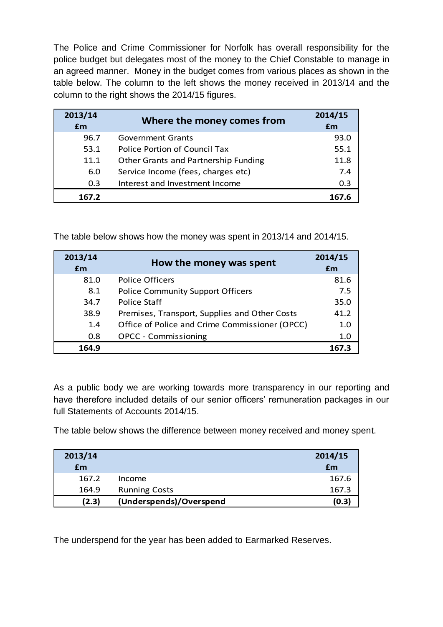The Police and Crime Commissioner for Norfolk has overall responsibility for the police budget but delegates most of the money to the Chief Constable to manage in an agreed manner. Money in the budget comes from various places as shown in the table below. The column to the left shows the money received in 2013/14 and the column to the right shows the 2014/15 figures.

| 2013/14<br>£m | Where the money comes from           | 2014/15<br>£m |
|---------------|--------------------------------------|---------------|
| 96.7          | <b>Government Grants</b>             | 93.0          |
| 53.1          | Police Portion of Council Tax        | 55.1          |
| 11.1          | Other Grants and Partnership Funding | 11.8          |
| 6.0           | Service Income (fees, charges etc)   | 7.4           |
| 0.3           | Interest and Investment Income       | 0.3           |
| 167.2         |                                      | 167.6         |

The table below shows how the money was spent in 2013/14 and 2014/15.

| 2013/14 | How the money was spent                        | 2014/15 |
|---------|------------------------------------------------|---------|
| Em      |                                                | £m      |
| 81.0    | <b>Police Officers</b>                         | 81.6    |
| 8.1     | <b>Police Community Support Officers</b>       | 7.5     |
| 34.7    | Police Staff                                   | 35.0    |
| 38.9    | Premises, Transport, Supplies and Other Costs  | 41.2    |
| 1.4     | Office of Police and Crime Commissioner (OPCC) | 1.0     |
| 0.8     | <b>OPCC - Commissioning</b>                    | 1.0     |
| 164.9   |                                                | 167.3   |

As a public body we are working towards more transparency in our reporting and have therefore included details of our senior officers' remuneration packages in our full Statements of Accounts 2014/15.

The table below shows the difference between money received and money spent.

| 2013/14 |                         | 2014/15 |
|---------|-------------------------|---------|
| £m      |                         | £m      |
| 167.2   | Income                  | 167.6   |
| 164.9   | <b>Running Costs</b>    | 167.3   |
| (2.3)   | (Underspends)/Overspend | (0.3)   |

The underspend for the year has been added to Earmarked Reserves.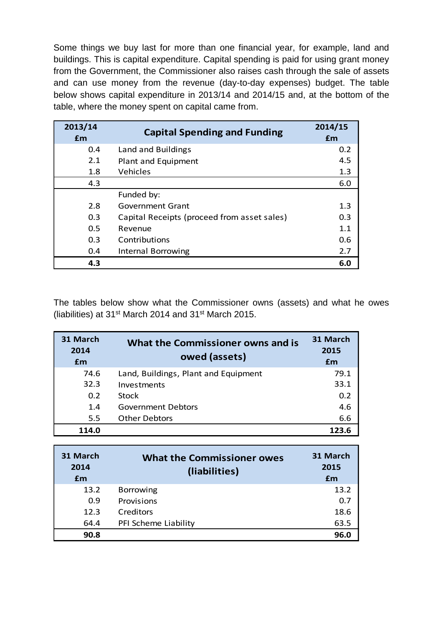Some things we buy last for more than one financial year, for example, land and buildings. This is capital expenditure. Capital spending is paid for using grant money from the Government, the Commissioner also raises cash through the sale of assets and can use money from the revenue (day-to-day expenses) budget. The table below shows capital expenditure in 2013/14 and 2014/15 and, at the bottom of the table, where the money spent on capital came from.

| 2013/14<br><b>fm</b> | <b>Capital Spending and Funding</b>         | 2014/15<br><b>fm</b> |
|----------------------|---------------------------------------------|----------------------|
| 0.4                  | Land and Buildings                          | 0.2                  |
| 2.1                  | Plant and Equipment                         | 4.5                  |
| 1.8                  | Vehicles                                    | 1.3                  |
| 4.3                  |                                             | 6.0                  |
|                      | Funded by:                                  |                      |
| 2.8                  | <b>Government Grant</b>                     | 1.3                  |
| 0.3                  | Capital Receipts (proceed from asset sales) | 0.3                  |
| 0.5                  | Revenue                                     | 1.1                  |
| 0.3                  | Contributions                               | 0.6                  |
| 0.4                  | Internal Borrowing                          | 2.7                  |
| 4.3                  |                                             | 6.0                  |

The tables below show what the Commissioner owns (assets) and what he owes (liabilities) at 31st March 2014 and 31st March 2015.

| 31 March<br>2014<br>£m | What the Commissioner owns and is<br>owed (assets) | 31 March<br>2015<br>£m |
|------------------------|----------------------------------------------------|------------------------|
| 74.6                   | Land, Buildings, Plant and Equipment               | 79.1                   |
| 32.3                   | Investments                                        | 33.1                   |
| 0.2                    | <b>Stock</b>                                       | 0.2                    |
| 1.4                    | Government Debtors                                 | 4.6                    |
| 5.5                    | <b>Other Debtors</b>                               | 6.6                    |
| 114.0                  |                                                    | 123.6                  |

| 31 March<br>2014<br>£m | <b>What the Commissioner owes</b><br>(liabilities) | 31 March<br>2015<br>£m |
|------------------------|----------------------------------------------------|------------------------|
| 13.2                   | <b>Borrowing</b>                                   | 13.2                   |
| 0.9                    | Provisions                                         | 0.7                    |
| 12.3                   | Creditors                                          | 18.6                   |
| 64.4                   | PFI Scheme Liability                               | 63.5                   |
| 90.8                   |                                                    | 96.0                   |